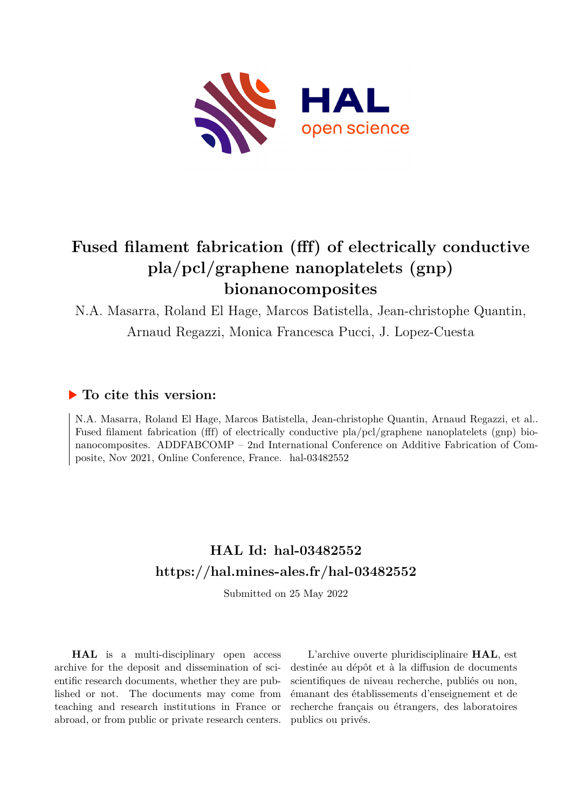

# **Fused filament fabrication (fff) of electrically conductive pla/pcl/graphene nanoplatelets (gnp) bionanocomposites**

N.A. Masarra, Roland El Hage, Marcos Batistella, Jean-christophe Quantin, Arnaud Regazzi, Monica Francesca Pucci, J. Lopez-Cuesta

### **To cite this version:**

N.A. Masarra, Roland El Hage, Marcos Batistella, Jean-christophe Quantin, Arnaud Regazzi, et al.. Fused filament fabrication (fff) of electrically conductive pla/pcl/graphene nanoplatelets (gnp) bionanocomposites. ADDFABCOMP – 2nd International Conference on Additive Fabrication of Composite, Nov 2021, Online Conference, France. hal-03482552

## **HAL Id: hal-03482552 <https://hal.mines-ales.fr/hal-03482552>**

Submitted on 25 May 2022

**HAL** is a multi-disciplinary open access archive for the deposit and dissemination of scientific research documents, whether they are published or not. The documents may come from teaching and research institutions in France or abroad, or from public or private research centers.

L'archive ouverte pluridisciplinaire **HAL**, est destinée au dépôt et à la diffusion de documents scientifiques de niveau recherche, publiés ou non, émanant des établissements d'enseignement et de recherche français ou étrangers, des laboratoires publics ou privés.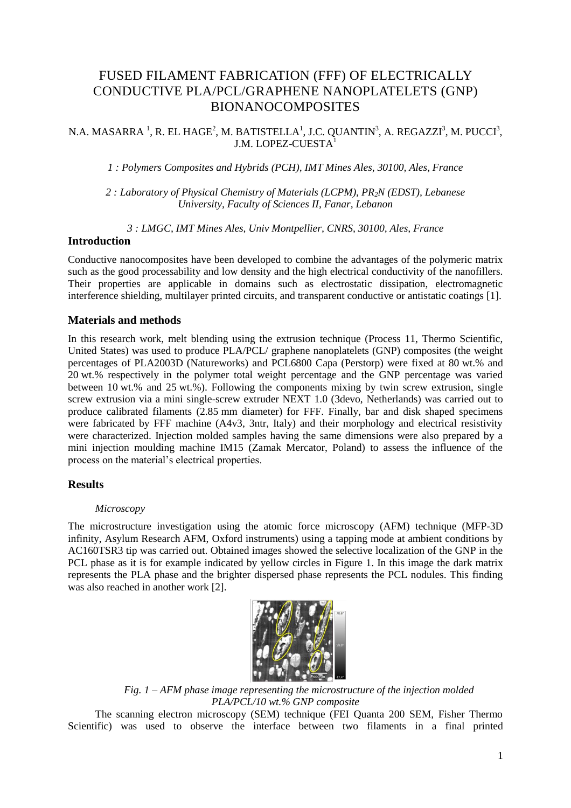## FUSED FILAMENT FABRICATION (FFF) OF ELECTRICALLY CONDUCTIVE PLA/PCL/GRAPHENE NANOPLATELETS (GNP) BIONANOCOMPOSITES

N.A. MASARRA  $^{1}$ , R. EL HAGE<sup>2</sup>, M. BATISTELLA<sup>1</sup>, J.C. QUANTIN<sup>3</sup>, A. REGAZZI<sup>3</sup>, M. PUCCI<sup>3</sup>, J.M. LOPEZ-CUESTA<sup>1</sup>

*1 : Polymers Composites and Hybrids (PCH), IMT Mines Ales, 30100, Ales, France* 

*2 : Laboratory of Physical Chemistry of Materials (LCPM), PR2N (EDST), Lebanese University, Faculty of Sciences II, Fanar, Lebanon* 

*3 : LMGC, IMT Mines Ales, Univ Montpellier, CNRS, 30100, Ales, France* 

#### **Introduction**

Conductive nanocomposites have been developed to combine the advantages of the polymeric matrix such as the good processability and low density and the high electrical conductivity of the nanofillers. Their properties are applicable in domains such as electrostatic dissipation, electromagnetic interference shielding, multilayer printed circuits, and transparent conductive or antistatic coatings [1].

#### **Materials and methods**

In this research work, melt blending using the extrusion technique (Process 11, Thermo Scientific, United States) was used to produce PLA/PCL/ graphene nanoplatelets (GNP) composites (the weight percentages of PLA2003D (Natureworks) and PCL6800 Capa (Perstorp) were fixed at 80 wt.% and 20 wt.% respectively in the polymer total weight percentage and the GNP percentage was varied between 10 wt.% and 25 wt.%). Following the components mixing by twin screw extrusion, single screw extrusion via a mini single-screw extruder NEXT 1.0 (3devo, Netherlands) was carried out to produce calibrated filaments (2.85 mm diameter) for FFF. Finally, bar and disk shaped specimens were fabricated by FFF machine (A4v3, 3ntr, Italy) and their morphology and electrical resistivity were characterized. Injection molded samples having the same dimensions were also prepared by a mini injection moulding machine IM15 (Zamak Mercator, Poland) to assess the influence of the process on the material's electrical properties.

#### **Results**

#### *Microscopy*

The microstructure investigation using the atomic force microscopy (AFM) technique (MFP-3D infinity, Asylum Research AFM, Oxford instruments) using a tapping mode at ambient conditions by AC160TSR3 tip was carried out. Obtained images showed the selective localization of the GNP in the PCL phase as it is for example indicated by yellow circles in Figure 1. In this image the dark matrix represents the PLA phase and the brighter dispersed phase represents the PCL nodules. This finding was also reached in another work [2].



*Fig. 1 – AFM phase image representing the microstructure of the injection molded PLA/PCL/10 wt.% GNP composite* 

The scanning electron microscopy (SEM) technique (FEI Quanta 200 SEM, Fisher Thermo Scientific) was used to observe the interface between two filaments in a final printed